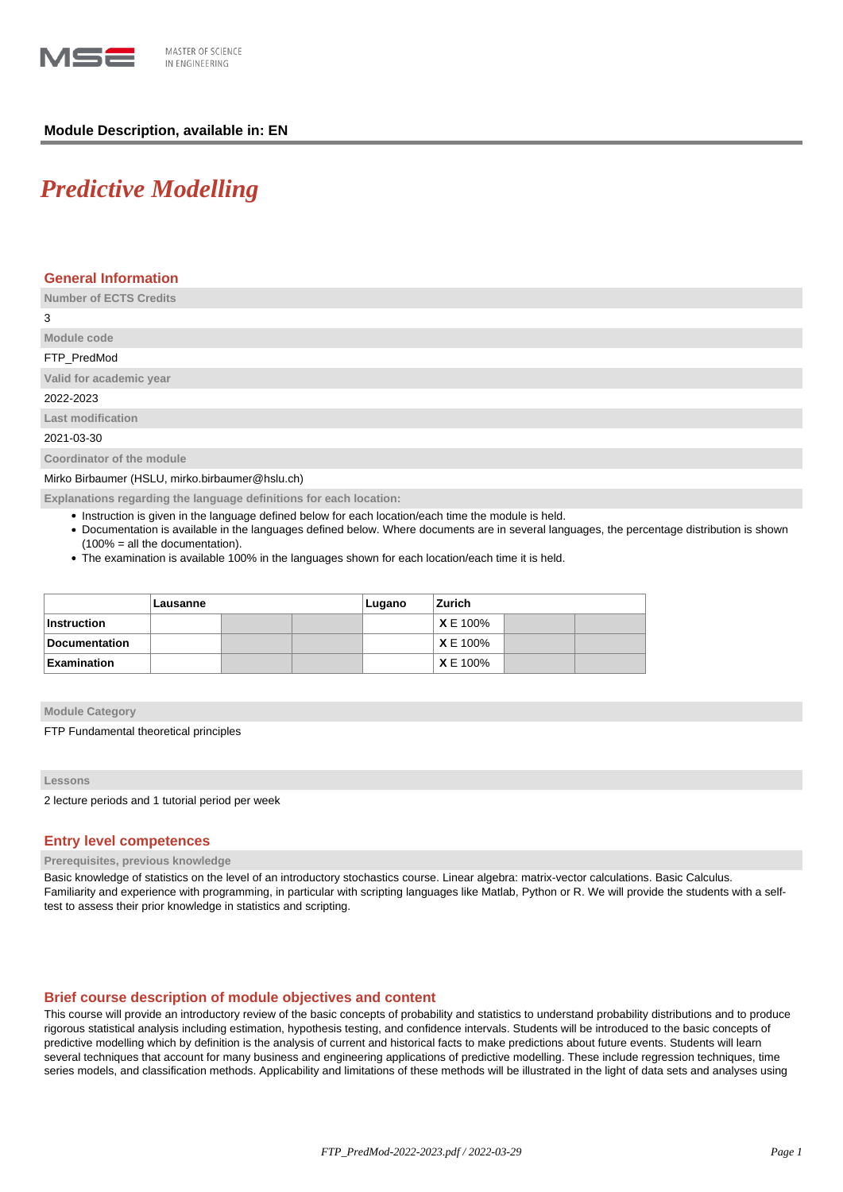

# **Module Description, available in: EN**

# *Predictive Modelling*

## **General Information**

**Number of ECTS Credits**

3

# **Module code** FTP\_PredMod

**Valid for academic year**

2022-2023

**Last modification**

2021-03-30

**Coordinator of the module**

Mirko Birbaumer (HSLU, mirko.birbaumer@hslu.ch)

**Explanations regarding the language definitions for each location:**

- Instruction is given in the language defined below for each location/each time the module is held.
- Documentation is available in the languages defined below. Where documents are in several languages, the percentage distribution is shown (100% = all the documentation).
- The examination is available 100% in the languages shown for each location/each time it is held.

|                      | Lausanne |  |  | Lugano | Zurich          |  |  |
|----------------------|----------|--|--|--------|-----------------|--|--|
| Instruction          |          |  |  |        | <b>X</b> E 100% |  |  |
| <b>Documentation</b> |          |  |  |        | <b>X</b> E 100% |  |  |
| Examination          |          |  |  |        | <b>X</b> E 100% |  |  |

## **Module Category**

FTP Fundamental theoretical principles

## **Lessons**

2 lecture periods and 1 tutorial period per week

# **Entry level competences**

#### **Prerequisites, previous knowledge**

Basic knowledge of statistics on the level of an introductory stochastics course. Linear algebra: matrix-vector calculations. Basic Calculus. Familiarity and experience with programming, in particular with scripting languages like Matlab, Python or R. We will provide the students with a selftest to assess their prior knowledge in statistics and scripting.

## **Brief course description of module objectives and content**

This course will provide an introductory review of the basic concepts of probability and statistics to understand probability distributions and to produce rigorous statistical analysis including estimation, hypothesis testing, and confidence intervals. Students will be introduced to the basic concepts of predictive modelling which by definition is the analysis of current and historical facts to make predictions about future events. Students will learn several techniques that account for many business and engineering applications of predictive modelling. These include regression techniques, time series models, and classification methods. Applicability and limitations of these methods will be illustrated in the light of data sets and analyses using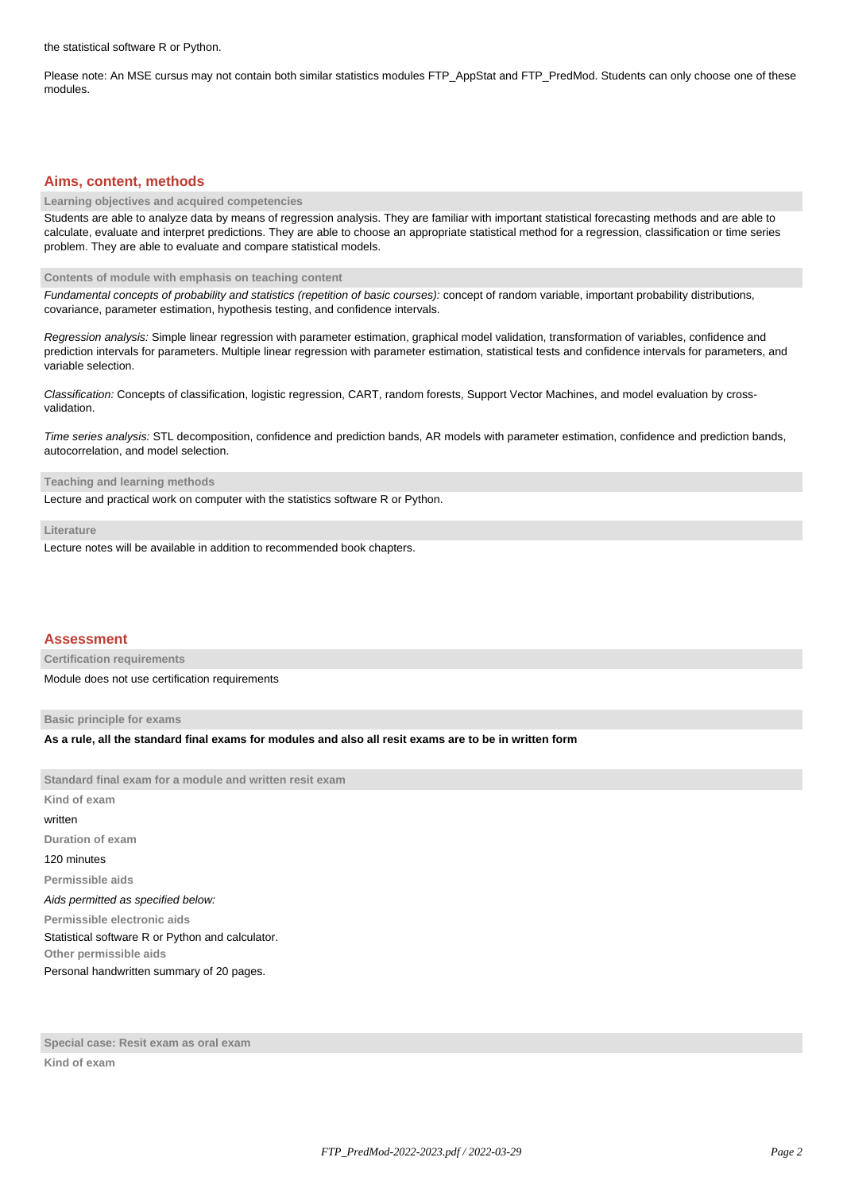the statistical software R or Python.

Please note: An MSE cursus may not contain both similar statistics modules FTP\_AppStat and FTP\_PredMod. Students can only choose one of these modules.

## **Aims, content, methods**

#### **Learning objectives and acquired competencies**

Students are able to analyze data by means of regression analysis. They are familiar with important statistical forecasting methods and are able to calculate, evaluate and interpret predictions. They are able to choose an appropriate statistical method for a regression, classification or time series problem. They are able to evaluate and compare statistical models.

#### **Contents of module with emphasis on teaching content**

Fundamental concepts of probability and statistics (repetition of basic courses): concept of random variable, important probability distributions, covariance, parameter estimation, hypothesis testing, and confidence intervals.

Regression analysis: Simple linear regression with parameter estimation, graphical model validation, transformation of variables, confidence and prediction intervals for parameters. Multiple linear regression with parameter estimation, statistical tests and confidence intervals for parameters, and variable selection.

Classification: Concepts of classification, logistic regression, CART, random forests, Support Vector Machines, and model evaluation by crossvalidation.

Time series analysis: STL decomposition, confidence and prediction bands, AR models with parameter estimation, confidence and prediction bands, autocorrelation, and model selection.

#### **Teaching and learning methods**

Lecture and practical work on computer with the statistics software R or Python.

#### **Literature**

Lecture notes will be available in addition to recommended book chapters.

### **Assessment**

**Certification requirements**

Module does not use certification requirements

## **Basic principle for exams**

**As a rule, all the standard final exams for modules and also all resit exams are to be in written form**

**Standard final exam for a module and written resit exam Kind of exam** written **Duration of exam** 120 minutes **Permissible aids** Aids permitted as specified below: **Permissible electronic aids** Statistical software R or Python and calculator. **Other permissible aids** Personal handwritten summary of 20 pages.

**Special case: Resit exam as oral exam**

**Kind of exam**